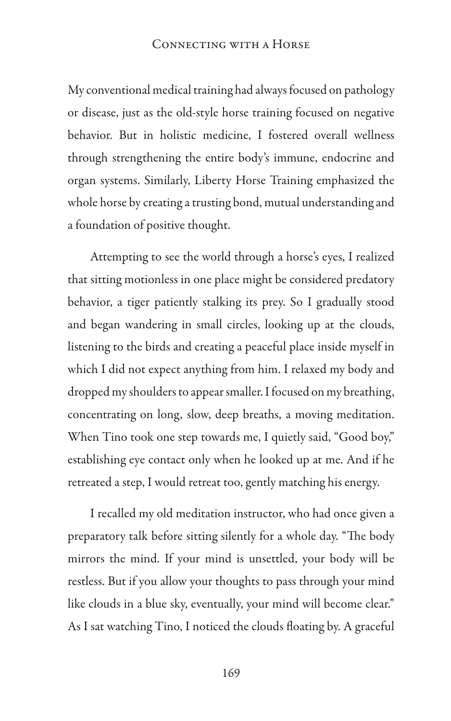My conventional medical training had always focused on pathology or disease, just as the old-style horse training focused on negative behavior. But in holistic medicine, I fostered overall wellness through strengthening the entire body's immune, endocrine and organ systems. Similarly, Liberty Horse Training emphasized the whole horse by creating a trusting bond, mutual understanding and a foundation of positive thought.

Attempting to see the world through a horse's eyes, I realized that sitting motionless in one place might be considered predatory behavior, a tiger patiently stalking its prey. So I gradually stood and began wandering in small circles, looking up at the clouds, listening to the birds and creating a peaceful place inside myself in which I did not expect anything from him. I relaxed my body and dropped my shoulders to appear smaller. I focused on my breathing, concentrating on long, slow, deep breaths, a moving meditation. When Tino took one step towards me, I quietly said, "Good boy," establishing eye contact only when he looked up at me. And if he retreated a step, I would retreat too, gently matching his energy.

I recalled my old meditation instructor, who had once given a preparatory talk before sitting silently for a whole day. "The body mirrors the mind. If your mind is unsettled, your body will be restless. But if you allow your thoughts to pass through your mind like clouds in a blue sky, eventually, your mind will become clear." As I sat watching Tino, I noticed the clouds floating by. A graceful

169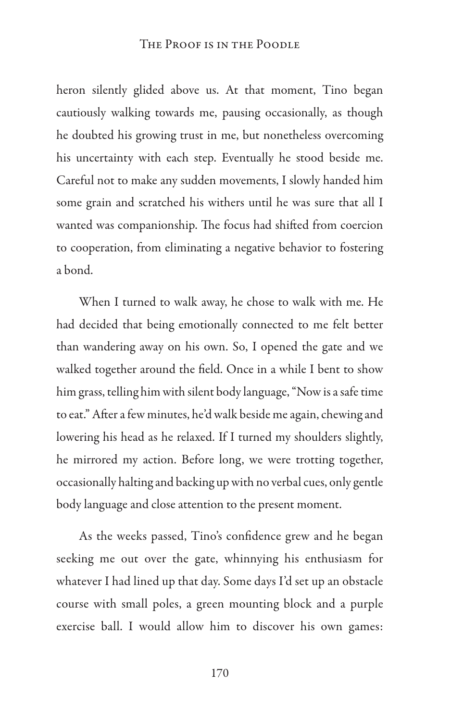## The Proof is in the Poodle

heron silently glided above us. At that moment, Tino began cautiously walking towards me, pausing occasionally, as though he doubted his growing trust in me, but nonetheless overcoming his uncertainty with each step. Eventually he stood beside me. Careful not to make any sudden movements, I slowly handed him some grain and scratched his withers until he was sure that all I wanted was companionship. The focus had shifted from coercion to cooperation, from eliminating a negative behavior to fostering a bond.

When I turned to walk away, he chose to walk with me. He had decided that being emotionally connected to me felt better than wandering away on his own. So, I opened the gate and we walked together around the field. Once in a while I bent to show him grass, telling him with silent body language, "Now is a safe time to eat." After a few minutes, he'd walk beside me again, chewing and lowering his head as he relaxed. If I turned my shoulders slightly, he mirrored my action. Before long, we were trotting together, occasionally halting and backing up with no verbal cues, only gentle body language and close attention to the present moment.

As the weeks passed, Tino's confidence grew and he began seeking me out over the gate, whinnying his enthusiasm for whatever I had lined up that day. Some days I'd set up an obstacle course with small poles, a green mounting block and a purple exercise ball. I would allow him to discover his own games:

170